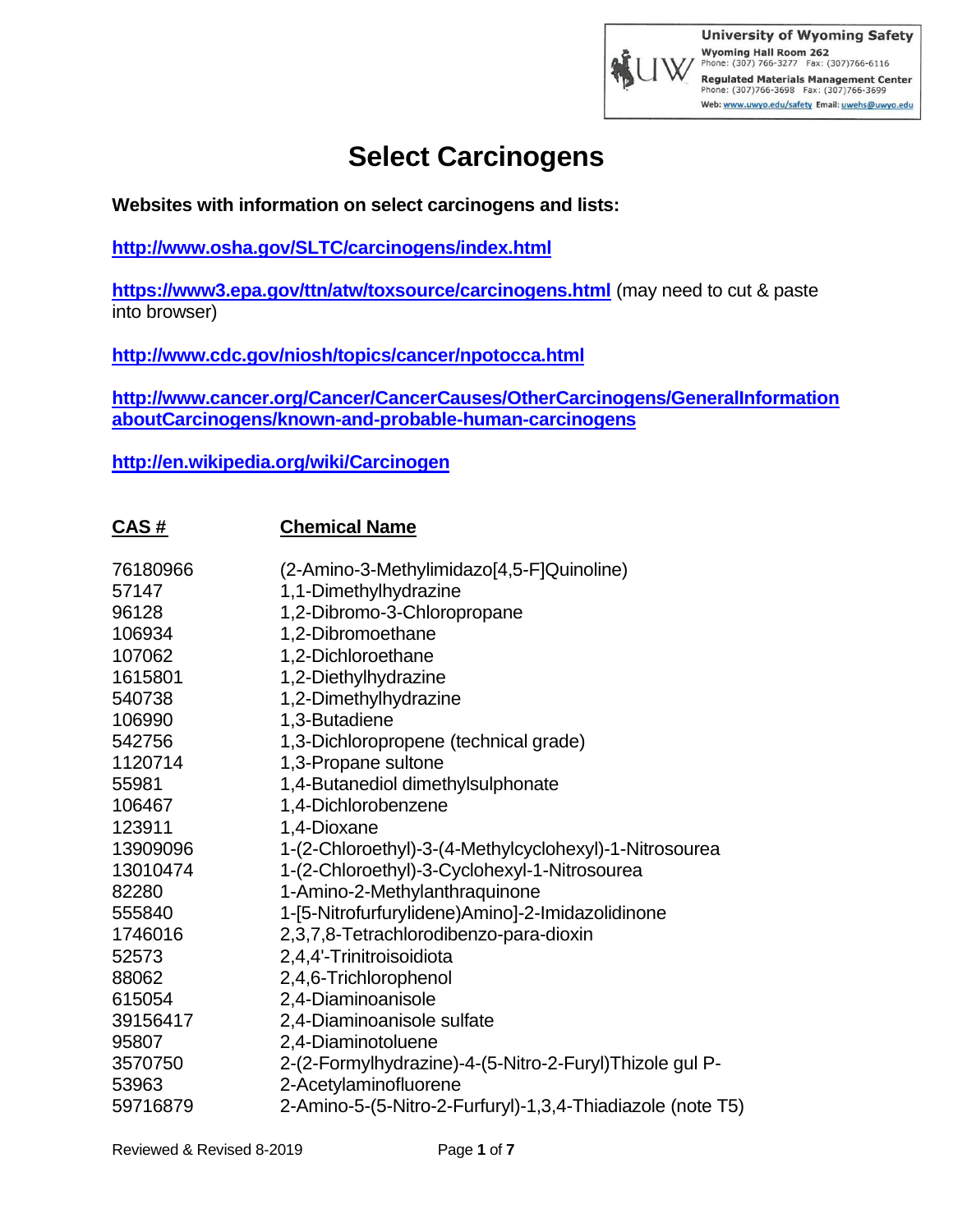

**Websites with information on select carcinogens and lists:**

**<http://www.osha.gov/SLTC/carcinogens/index.html>**

**<https://www3.epa.gov/ttn/atw/toxsource/carcinogens.html>** (may need to cut & paste into browser)

**<http://www.cdc.gov/niosh/topics/cancer/npotocca.html>**

**[http://www.cancer.org/Cancer/CancerCauses/OtherCarcinogens/GeneralInformation](http://www.cancer.org/Cancer/CancerCauses/OtherCarcinogens/GeneralInformationaboutCarcinogens/known-and-probable-human-carcinogens) [aboutCarcinogens/known-and-probable-human-carcinogens](http://www.cancer.org/Cancer/CancerCauses/OtherCarcinogens/GeneralInformationaboutCarcinogens/known-and-probable-human-carcinogens)**

**<http://en.wikipedia.org/wiki/Carcinogen>**

**CAS # Chemical Name**

| <u>.</u> |                                                            |
|----------|------------------------------------------------------------|
| 76180966 | (2-Amino-3-Methylimidazo[4,5-F]Quinoline)                  |
| 57147    | 1,1-Dimethylhydrazine                                      |
| 96128    | 1,2-Dibromo-3-Chloropropane                                |
| 106934   | 1,2-Dibromoethane                                          |
| 107062   | 1,2-Dichloroethane                                         |
| 1615801  | 1,2-Diethylhydrazine                                       |
| 540738   | 1,2-Dimethylhydrazine                                      |
| 106990   | 1,3-Butadiene                                              |
| 542756   | 1,3-Dichloropropene (technical grade)                      |
| 1120714  | 1,3-Propane sultone                                        |
| 55981    | 1,4-Butanediol dimethylsulphonate                          |
| 106467   | 1,4-Dichlorobenzene                                        |
| 123911   | 1,4-Dioxane                                                |
| 13909096 | 1-(2-Chloroethyl)-3-(4-Methylcyclohexyl)-1-Nitrosourea     |
| 13010474 | 1-(2-Chloroethyl)-3-Cyclohexyl-1-Nitrosourea               |
| 82280    | 1-Amino-2-Methylanthraquinone                              |
| 555840   | 1-[5-Nitrofurfurylidene)Amino]-2-Imidazolidinone           |
| 1746016  | 2,3,7,8-Tetrachlorodibenzo-para-dioxin                     |
| 52573    | 2,4,4'-Trinitroisoidiota                                   |
| 88062    | 2,4,6-Trichlorophenol                                      |
| 615054   | 2,4-Diaminoanisole                                         |
| 39156417 | 2,4-Diaminoanisole sulfate                                 |
| 95807    | 2,4-Diaminotoluene                                         |
| 3570750  | 2-(2-Formylhydrazine)-4-(5-Nitro-2-Furyl)Thizole gul P-    |
| 53963    | 2-Acetylaminofluorene                                      |
| 59716879 | 2-Amino-5-(5-Nitro-2-Furfuryl)-1,3,4-Thiadiazole (note T5) |
|          |                                                            |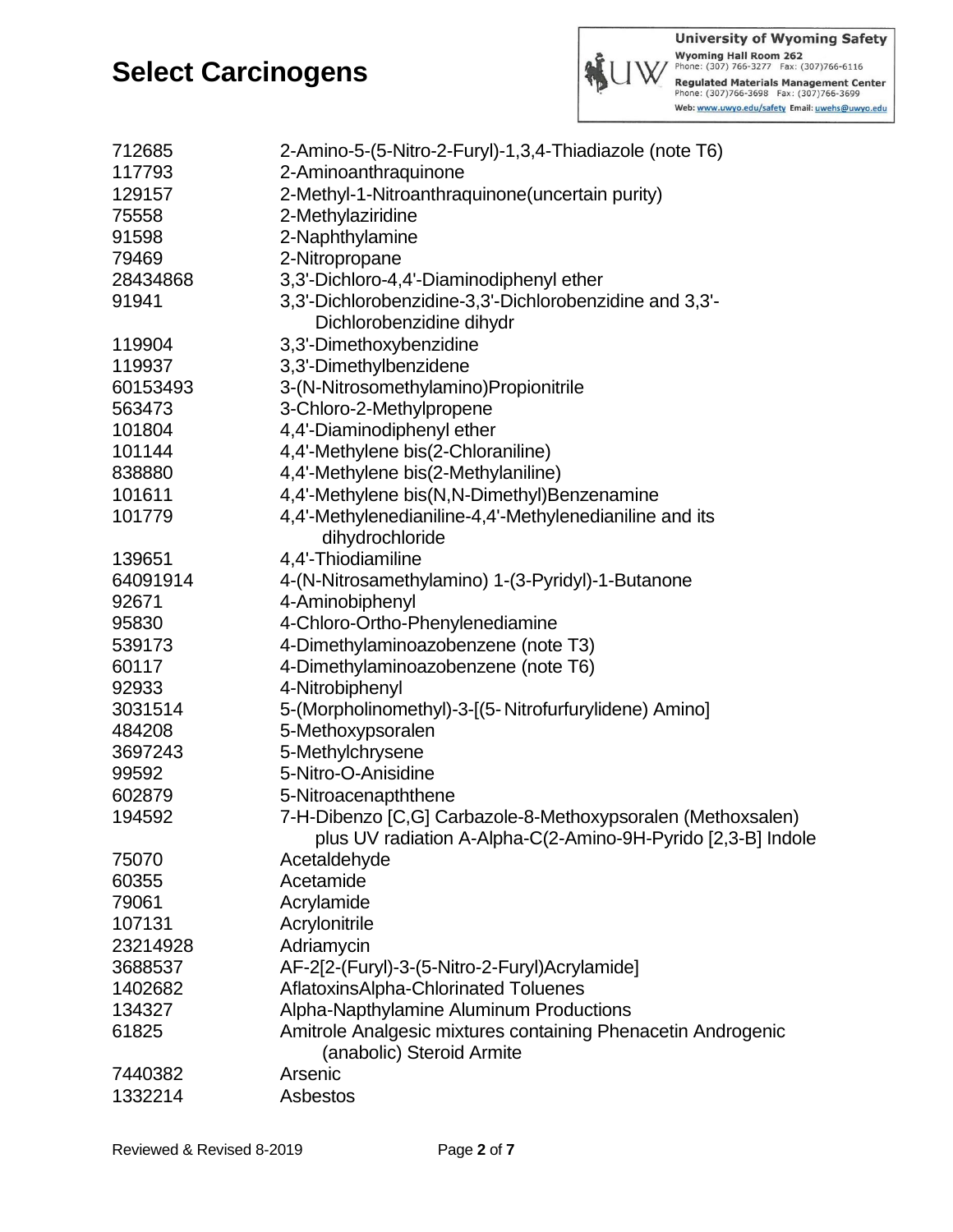

| 712685   | 2-Amino-5-(5-Nitro-2-Furyl)-1,3,4-Thiadiazole (note T6)                                   |
|----------|-------------------------------------------------------------------------------------------|
| 117793   | 2-Aminoanthraquinone                                                                      |
| 129157   | 2-Methyl-1-Nitroanthraquinone(uncertain purity)                                           |
| 75558    | 2-Methylaziridine                                                                         |
| 91598    | 2-Naphthylamine                                                                           |
| 79469    | 2-Nitropropane                                                                            |
| 28434868 | 3,3'-Dichloro-4,4'-Diaminodiphenyl ether                                                  |
| 91941    | 3,3'-Dichlorobenzidine-3,3'-Dichlorobenzidine and 3,3'-                                   |
|          | Dichlorobenzidine dihydr                                                                  |
| 119904   | 3,3'-Dimethoxybenzidine                                                                   |
| 119937   | 3,3'-Dimethylbenzidene                                                                    |
| 60153493 | 3-(N-Nitrosomethylamino)Propionitrile                                                     |
| 563473   | 3-Chloro-2-Methylpropene                                                                  |
| 101804   | 4,4'-Diaminodiphenyl ether                                                                |
| 101144   | 4,4'-Methylene bis(2-Chloraniline)                                                        |
| 838880   | 4,4'-Methylene bis(2-Methylaniline)                                                       |
| 101611   | 4,4'-Methylene bis(N,N-Dimethyl)Benzenamine                                               |
| 101779   | 4,4'-Methylenedianiline-4,4'-Methylenedianiline and its                                   |
|          | dihydrochloride                                                                           |
| 139651   | 4,4'-Thiodiamiline                                                                        |
| 64091914 | 4-(N-Nitrosamethylamino) 1-(3-Pyridyl)-1-Butanone                                         |
| 92671    | 4-Aminobiphenyl                                                                           |
| 95830    | 4-Chloro-Ortho-Phenylenediamine                                                           |
| 539173   | 4-Dimethylaminoazobenzene (note T3)                                                       |
| 60117    | 4-Dimethylaminoazobenzene (note T6)                                                       |
| 92933    | 4-Nitrobiphenyl                                                                           |
| 3031514  |                                                                                           |
|          | 5-(Morpholinomethyl)-3-[(5- Nitrofurfurylidene) Amino]                                    |
| 484208   | 5-Methoxypsoralen                                                                         |
| 3697243  | 5-Methylchrysene                                                                          |
| 99592    | 5-Nitro-O-Anisidine                                                                       |
| 602879   | 5-Nitroacenapththene                                                                      |
| 194592   | 7-H-Dibenzo [C,G] Carbazole-8-Methoxypsoralen (Methoxsalen)                               |
|          | plus UV radiation A-Alpha-C(2-Amino-9H-Pyrido [2,3-B] Indole                              |
| 75070    | Acetaldehyde                                                                              |
| 60355    | Acetamide                                                                                 |
| 79061    | Acrylamide                                                                                |
| 107131   | Acrylonitrile                                                                             |
| 23214928 | Adriamycin                                                                                |
| 3688537  | AF-2[2-(Furyl)-3-(5-Nitro-2-Furyl)Acrylamide]                                             |
| 1402682  | AflatoxinsAlpha-Chlorinated Toluenes                                                      |
| 134327   | Alpha-Napthylamine Aluminum Productions                                                   |
| 61825    | Amitrole Analgesic mixtures containing Phenacetin Androgenic<br>(anabolic) Steroid Armite |
| 7440382  | Arsenic                                                                                   |
| 1332214  | Asbestos                                                                                  |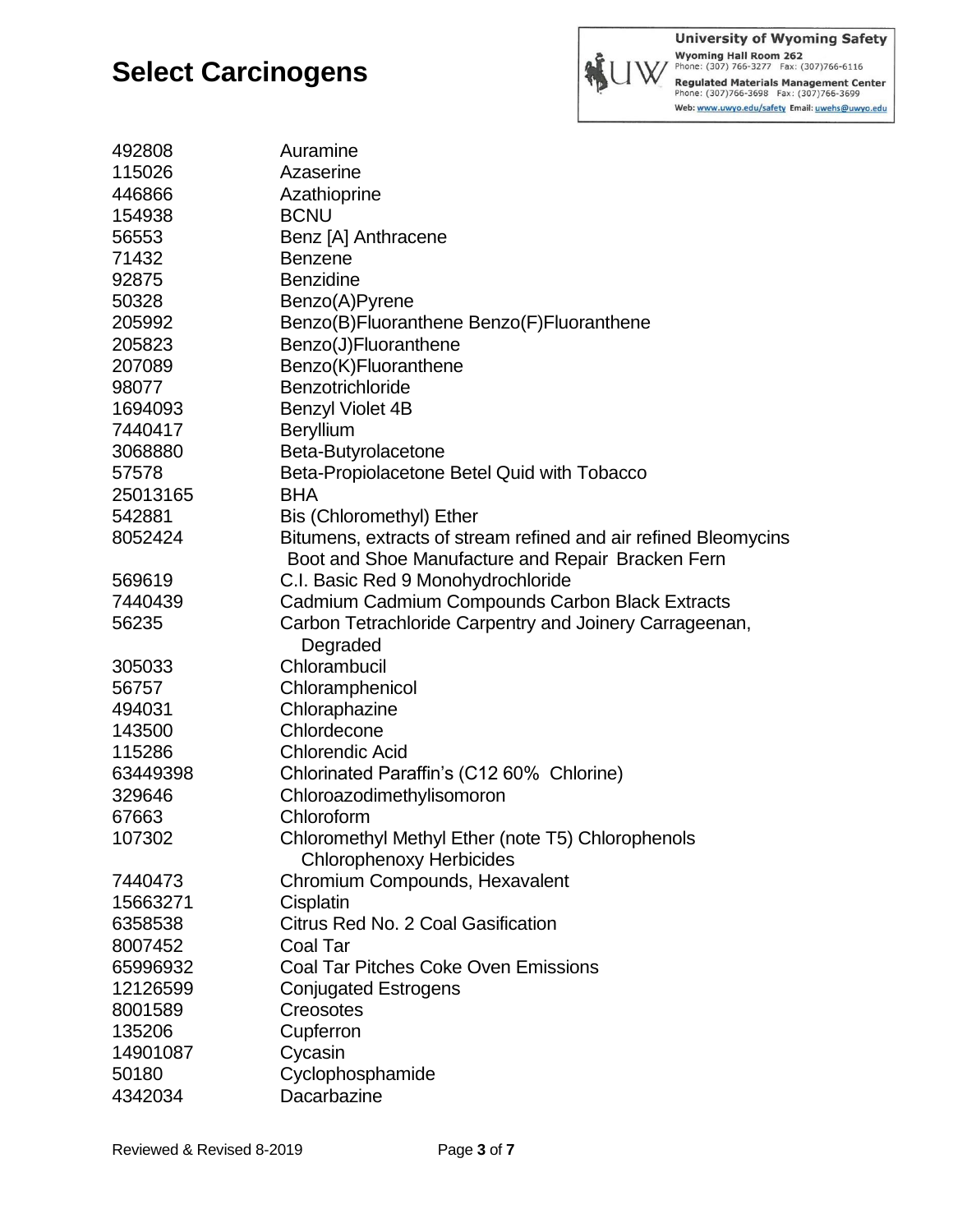

**University of Wyoming Safety** University of the Machine State Phone: (307)766-3277<br>Phone: (307) 766-3277 Fax: (307)766-6116<br>Regulated Materials Management Center<br>Phone: (307)766-3698 Fax: (307)766-3699 Web: www.uwyo.edu/safety Email: uwehs@uwyo.edu

| 492808   | Auramine                                                        |
|----------|-----------------------------------------------------------------|
| 115026   | Azaserine                                                       |
| 446866   | Azathioprine                                                    |
| 154938   | <b>BCNU</b>                                                     |
| 56553    | Benz [A] Anthracene                                             |
| 71432    | <b>Benzene</b>                                                  |
| 92875    | <b>Benzidine</b>                                                |
| 50328    | Benzo(A)Pyrene                                                  |
| 205992   | Benzo(B)Fluoranthene Benzo(F)Fluoranthene                       |
| 205823   | Benzo(J)Fluoranthene                                            |
| 207089   | Benzo(K)Fluoranthene                                            |
| 98077    | Benzotrichloride                                                |
| 1694093  | <b>Benzyl Violet 4B</b>                                         |
| 7440417  | <b>Beryllium</b>                                                |
| 3068880  | Beta-Butyrolacetone                                             |
| 57578    | Beta-Propiolacetone Betel Quid with Tobacco                     |
| 25013165 | <b>BHA</b>                                                      |
| 542881   | Bis (Chloromethyl) Ether                                        |
| 8052424  | Bitumens, extracts of stream refined and air refined Bleomycins |
|          | Boot and Shoe Manufacture and Repair Bracken Fern               |
| 569619   | C.I. Basic Red 9 Monohydrochloride                              |
| 7440439  | Cadmium Cadmium Compounds Carbon Black Extracts                 |
| 56235    | Carbon Tetrachloride Carpentry and Joinery Carrageenan,         |
|          | Degraded                                                        |
| 305033   | Chlorambucil                                                    |
| 56757    | Chloramphenicol                                                 |
| 494031   | Chloraphazine                                                   |
| 143500   | Chlordecone                                                     |
| 115286   | <b>Chlorendic Acid</b>                                          |
| 63449398 | Chlorinated Paraffin's (C12 60% Chlorine)                       |
| 329646   | Chloroazodimethylisomoron                                       |
| 67663    | Chloroform                                                      |
| 107302   | Chloromethyl Methyl Ether (note T5) Chlorophenols               |
|          | <b>Chlorophenoxy Herbicides</b>                                 |
| 7440473  | Chromium Compounds, Hexavalent                                  |
| 15663271 | Cisplatin                                                       |
| 6358538  | Citrus Red No. 2 Coal Gasification                              |
| 8007452  | Coal Tar                                                        |
| 65996932 | <b>Coal Tar Pitches Coke Oven Emissions</b>                     |
| 12126599 | <b>Conjugated Estrogens</b>                                     |
| 8001589  | Creosotes                                                       |
| 135206   | Cupferron                                                       |
| 14901087 | Cycasin                                                         |
| 50180    | Cyclophosphamide                                                |
| 4342034  | Dacarbazine                                                     |
|          |                                                                 |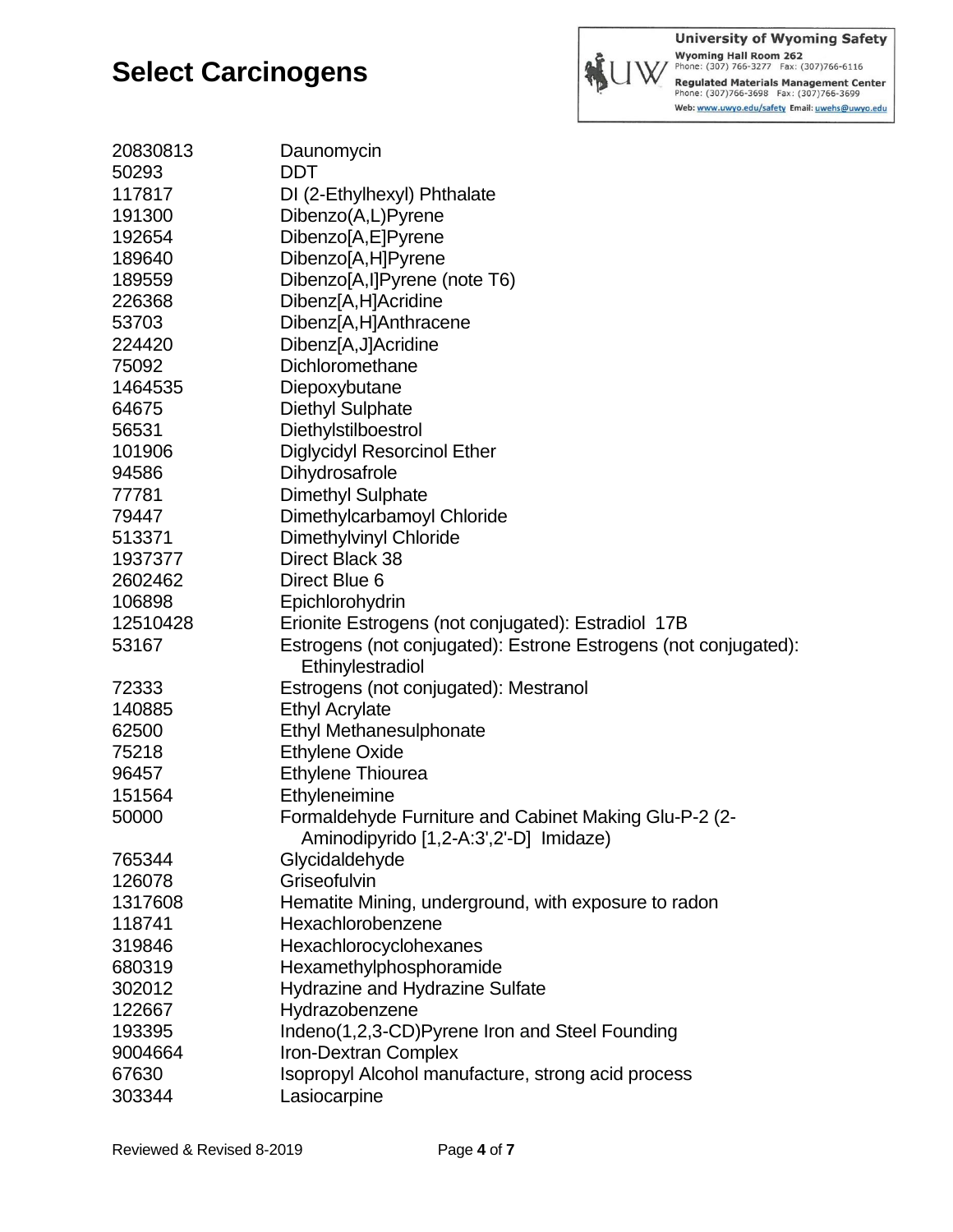

**University of Wyoming Safety** Wyoming Hall Room 262<br>Phone: (307) 766-3277 Fax: (307)766-6116 Regulated Materials Management Center<br>Phone: (307)766-3698 Fax: (307)766-3699 Web: www.uwyo.edu/safety Email: uwehs@uwyo.edu

| 20830813 | Daunomycin                                                      |
|----------|-----------------------------------------------------------------|
| 50293    | <b>DDT</b>                                                      |
| 117817   | DI (2-Ethylhexyl) Phthalate                                     |
| 191300   | Dibenzo(A,L)Pyrene                                              |
| 192654   | Dibenzo[A,E]Pyrene                                              |
| 189640   | Dibenzo[A,H]Pyrene                                              |
| 189559   | Dibenzo[A,I]Pyrene (note T6)                                    |
| 226368   | Dibenz[A,H]Acridine                                             |
| 53703    | Dibenz[A,H]Anthracene                                           |
| 224420   | Dibenz[A,J]Acridine                                             |
| 75092    | Dichloromethane                                                 |
| 1464535  | Diepoxybutane                                                   |
| 64675    | <b>Diethyl Sulphate</b>                                         |
| 56531    | Diethylstilboestrol                                             |
| 101906   | <b>Diglycidyl Resorcinol Ether</b>                              |
| 94586    | Dihydrosafrole                                                  |
| 77781    | Dimethyl Sulphate                                               |
| 79447    | Dimethylcarbamoyl Chloride                                      |
| 513371   | <b>Dimethylvinyl Chloride</b>                                   |
| 1937377  | Direct Black 38                                                 |
| 2602462  | Direct Blue 6                                                   |
| 106898   | Epichlorohydrin                                                 |
| 12510428 | Erionite Estrogens (not conjugated): Estradiol 17B              |
| 53167    | Estrogens (not conjugated): Estrone Estrogens (not conjugated): |
|          | Ethinylestradiol                                                |
| 72333    | Estrogens (not conjugated): Mestranol                           |
| 140885   | <b>Ethyl Acrylate</b>                                           |
| 62500    | <b>Ethyl Methanesulphonate</b>                                  |
| 75218    | <b>Ethylene Oxide</b>                                           |
| 96457    | Ethylene Thiourea                                               |
| 151564   | Ethyleneimine                                                   |
| 50000    | Formaldehyde Furniture and Cabinet Making Glu-P-2 (2-           |
|          | Aminodipyrido [1,2-A:3',2'-D] Imidaze)                          |
| 765344   | Glycidaldehyde                                                  |
| 126078   | Griseofulvin                                                    |
| 1317608  | Hematite Mining, underground, with exposure to radon            |
| 118741   | Hexachlorobenzene                                               |
| 319846   | Hexachlorocyclohexanes                                          |
| 680319   | Hexamethylphosphoramide                                         |
| 302012   | Hydrazine and Hydrazine Sulfate                                 |
| 122667   | Hydrazobenzene                                                  |
| 193395   | Indeno(1,2,3-CD)Pyrene Iron and Steel Founding                  |
| 9004664  | <b>Iron-Dextran Complex</b>                                     |
| 67630    | Isopropyl Alcohol manufacture, strong acid process              |
| 303344   | Lasiocarpine                                                    |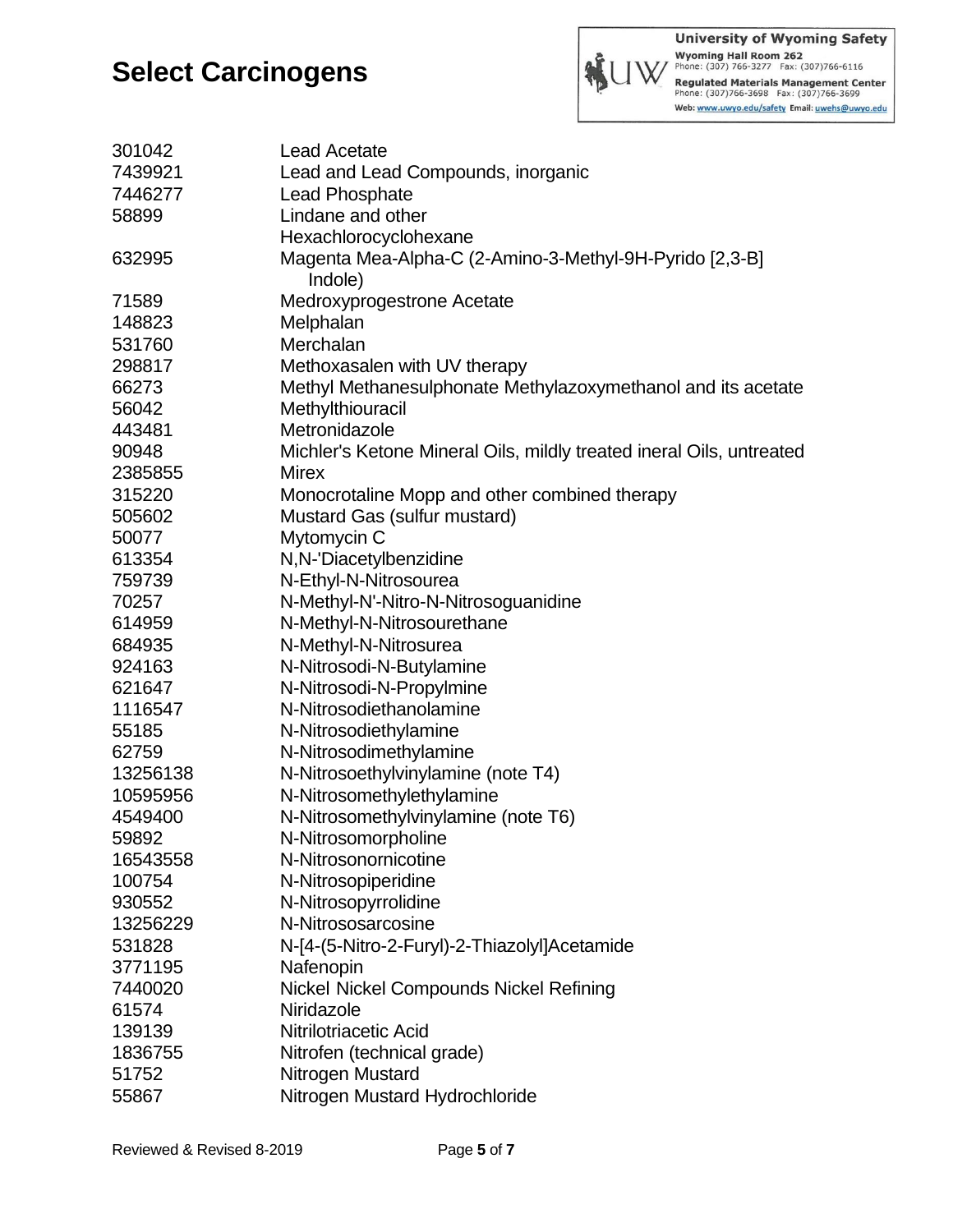

**University of Wyoming Safety** Wyoming Hall Room 262<br>Phone: (307) 766-3277 Fax: (307) 766-6116 Regulated Materials Management Center<br>Phone: (307)766-3698 Fax: (307)766-3699 Web: www.uwyo.edu/safety Email: uwehs@uwyo.edu

| 301042   | <b>Lead Acetate</b>                                                  |
|----------|----------------------------------------------------------------------|
| 7439921  | Lead and Lead Compounds, inorganic                                   |
| 7446277  | <b>Lead Phosphate</b>                                                |
| 58899    | Lindane and other                                                    |
|          | Hexachlorocyclohexane                                                |
| 632995   | Magenta Mea-Alpha-C (2-Amino-3-Methyl-9H-Pyrido [2,3-B]              |
|          | Indole)                                                              |
| 71589    | Medroxyprogestrone Acetate                                           |
| 148823   | Melphalan                                                            |
| 531760   | Merchalan                                                            |
| 298817   | Methoxasalen with UV therapy                                         |
| 66273    | Methyl Methanesulphonate Methylazoxymethanol and its acetate         |
| 56042    | Methylthiouracil                                                     |
| 443481   | Metronidazole                                                        |
| 90948    | Michler's Ketone Mineral Oils, mildly treated ineral Oils, untreated |
| 2385855  | Mirex                                                                |
| 315220   | Monocrotaline Mopp and other combined therapy                        |
| 505602   | Mustard Gas (sulfur mustard)                                         |
| 50077    | Mytomycin C                                                          |
| 613354   | N,N-'Diacetylbenzidine                                               |
| 759739   | N-Ethyl-N-Nitrosourea                                                |
| 70257    | N-Methyl-N'-Nitro-N-Nitrosoguanidine                                 |
| 614959   | N-Methyl-N-Nitrosourethane                                           |
| 684935   | N-Methyl-N-Nitrosurea                                                |
| 924163   | N-Nitrosodi-N-Butylamine                                             |
| 621647   | N-Nitrosodi-N-Propylmine                                             |
| 1116547  | N-Nitrosodiethanolamine                                              |
| 55185    | N-Nitrosodiethylamine                                                |
| 62759    | N-Nitrosodimethylamine                                               |
| 13256138 | N-Nitrosoethylvinylamine (note T4)                                   |
| 10595956 | N-Nitrosomethylethylamine                                            |
| 4549400  | N-Nitrosomethylvinylamine (note T6)                                  |
| 59892    | N-Nitrosomorpholine                                                  |
| 16543558 | N-Nitrosonornicotine                                                 |
| 100754   | N-Nitrosopiperidine                                                  |
| 930552   | N-Nitrosopyrrolidine                                                 |
| 13256229 | N-Nitrososarcosine                                                   |
| 531828   | N-[4-(5-Nitro-2-Furyl)-2-Thiazolyl]Acetamide                         |
| 3771195  | Nafenopin                                                            |
| 7440020  | Nickel Nickel Compounds Nickel Refining                              |
| 61574    | Niridazole                                                           |
| 139139   | Nitrilotriacetic Acid                                                |
| 1836755  | Nitrofen (technical grade)                                           |
| 51752    | Nitrogen Mustard                                                     |
| 55867    | Nitrogen Mustard Hydrochloride                                       |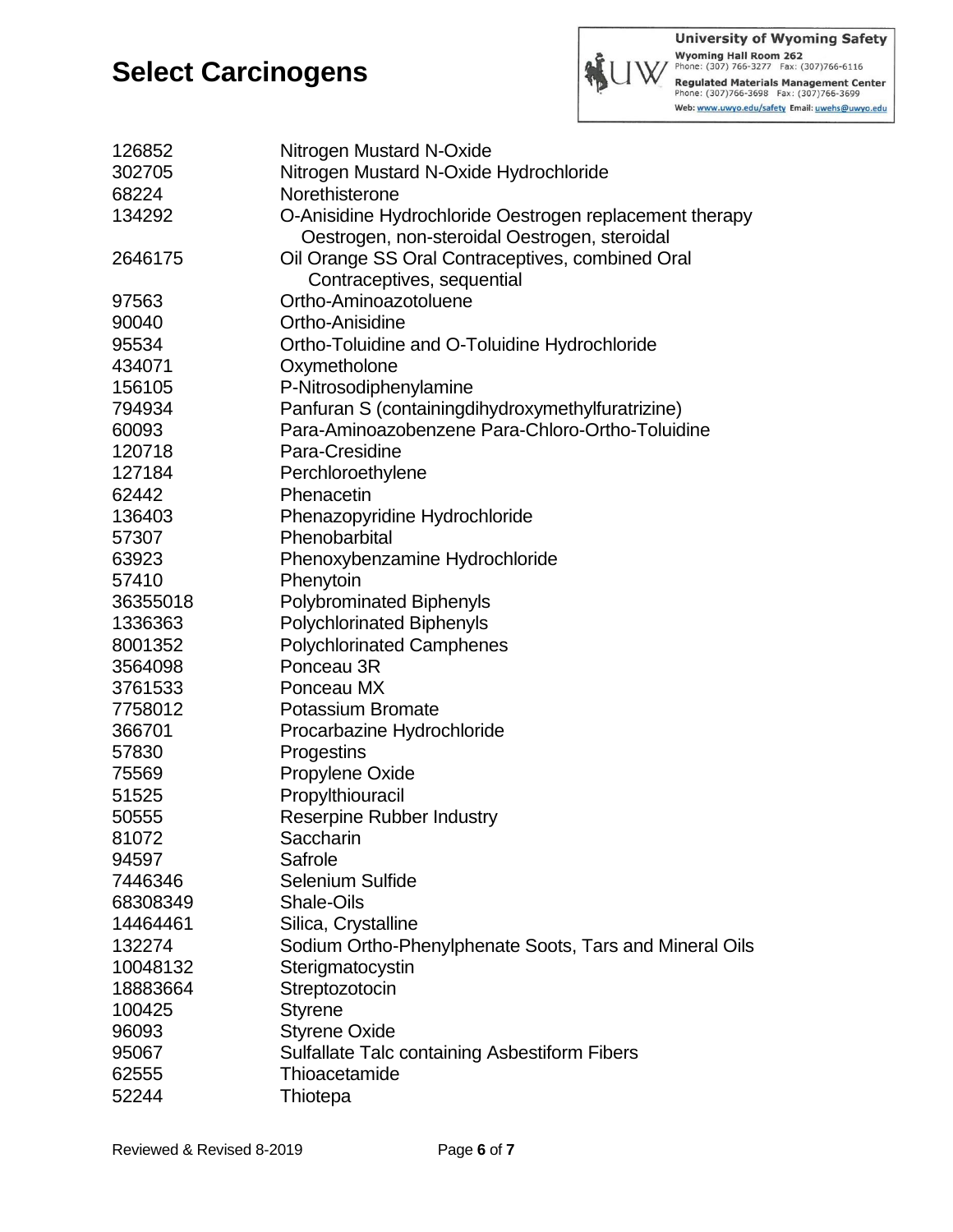

Wyoming Hall Room 262<br>Phone: (307) 766-3277 Fax: (307) 766-6116 Regulated Materials Management Center<br>Phone: (307)766-3698 Fax: (307)766-3699 Web: www.uwyo.edu/safety Email: uwehs@uwyo.edu

| 126852   | Nitrogen Mustard N-Oxide                                |
|----------|---------------------------------------------------------|
| 302705   | Nitrogen Mustard N-Oxide Hydrochloride                  |
| 68224    | Norethisterone                                          |
| 134292   | O-Anisidine Hydrochloride Oestrogen replacement therapy |
|          | Oestrogen, non-steroidal Oestrogen, steroidal           |
| 2646175  | Oil Orange SS Oral Contraceptives, combined Oral        |
|          | Contraceptives, sequential                              |
| 97563    | Ortho-Aminoazotoluene                                   |
| 90040    | Ortho-Anisidine                                         |
| 95534    | Ortho-Toluidine and O-Toluidine Hydrochloride           |
| 434071   | Oxymetholone                                            |
| 156105   | P-Nitrosodiphenylamine                                  |
| 794934   | Panfuran S (containingdihydroxymethylfuratrizine)       |
| 60093    | Para-Aminoazobenzene Para-Chloro-Ortho-Toluidine        |
| 120718   | Para-Cresidine                                          |
| 127184   | Perchloroethylene                                       |
| 62442    | Phenacetin                                              |
| 136403   | Phenazopyridine Hydrochloride                           |
| 57307    | Phenobarbital                                           |
| 63923    | Phenoxybenzamine Hydrochloride                          |
| 57410    | Phenytoin                                               |
| 36355018 | <b>Polybrominated Biphenyls</b>                         |
| 1336363  | <b>Polychlorinated Biphenyls</b>                        |
| 8001352  | <b>Polychlorinated Camphenes</b>                        |
| 3564098  | Ponceau 3R                                              |
| 3761533  | Ponceau MX                                              |
| 7758012  | Potassium Bromate                                       |
| 366701   | Procarbazine Hydrochloride                              |
| 57830    | Progestins                                              |
| 75569    | Propylene Oxide                                         |
| 51525    | Propylthiouracil                                        |
| 50555    | <b>Reserpine Rubber Industry</b>                        |
| 81072    | Saccharin                                               |
| 94597    | Safrole                                                 |
| 7446346  | <b>Selenium Sulfide</b>                                 |
| 68308349 | <b>Shale-Oils</b>                                       |
| 14464461 | Silica, Crystalline                                     |
| 132274   | Sodium Ortho-Phenylphenate Soots, Tars and Mineral Oils |
| 10048132 | Sterigmatocystin                                        |
| 18883664 | Streptozotocin                                          |
| 100425   | <b>Styrene</b>                                          |
| 96093    | <b>Styrene Oxide</b>                                    |
| 95067    | <b>Sulfallate Talc containing Asbestiform Fibers</b>    |
| 62555    | Thioacetamide                                           |
| 52244    | Thiotepa                                                |